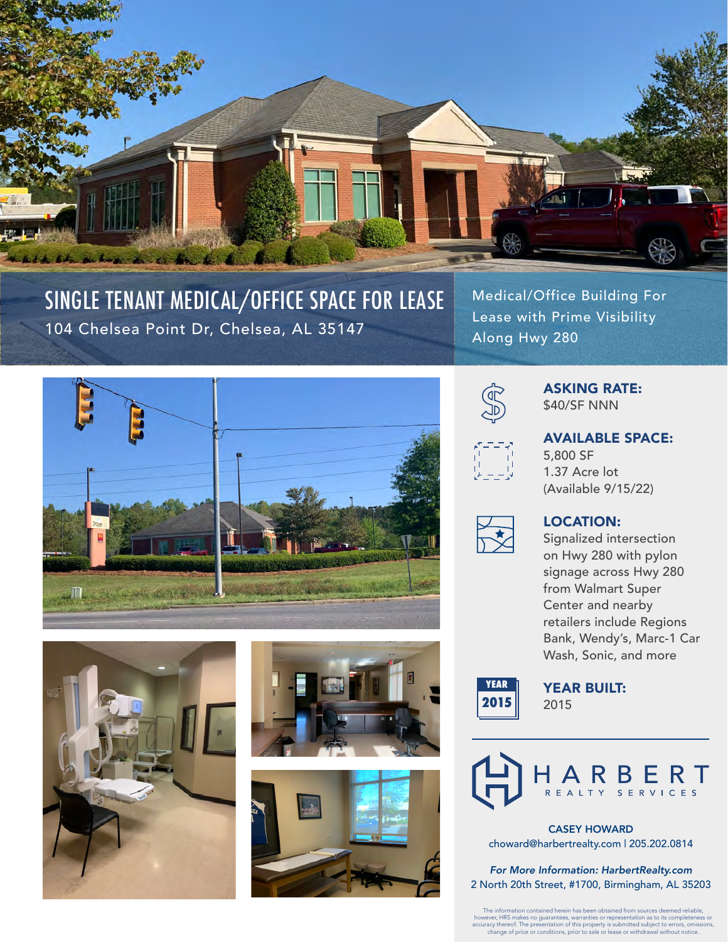

## SINGLE TENANT MEDICAL/OFFICE SPACE FOR LEASE 104 Chelsea Point Dr, Chelsea, AL 35147

Medical/Office Building For Lease with Prime Visibility Along Hwy 280











### ASKING RATE: \$40/SF NNN



AVAILABLE SPACE: 5,800 SF 1.37 Acre lot (Available 9/15/22)



#### LOCATION:

Signalized intersection on Hwy 280 with pylon signage across Hwy 280 from Walmart Super Center and nearby retailers include Regions Bank, Wendy's, Marc-1 Car Wash, Sonic, and more



YEAR BUILT: 2015



CASEY HOWARD choward@harbertrealty.com | 205.202.0814

*For More Information: HarbertRealty.com* 2 North 20th Street, #1700, Birmingham, AL 35203

The information contained herein has been obtained from sources deemed reliable,<br>however, HRS makes no guarantees, warranties or representation as to its completeness or<br>accuracy thereof. The presentation of this property